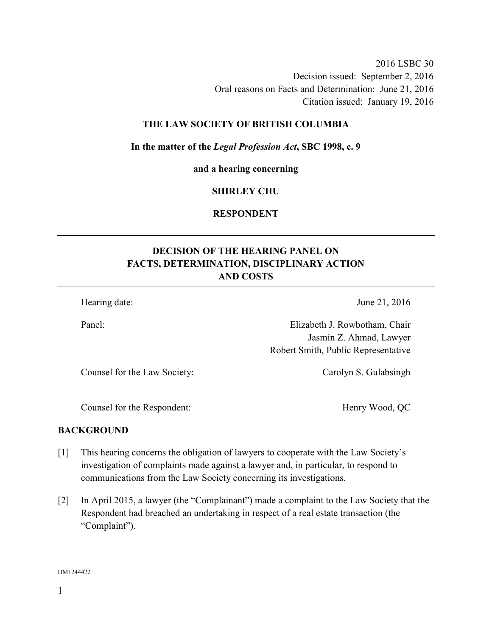2016 LSBC 30 Decision issued: September 2, 2016 Oral reasons on Facts and Determination: June 21, 2016 Citation issued: January 19, 2016

#### **THE LAW SOCIETY OF BRITISH COLUMBIA**

#### **In the matter of the** *Legal Profession Act***, SBC 1998, c. 9**

**and a hearing concerning** 

#### **SHIRLEY CHU**

### **RESPONDENT**

# **DECISION OF THE HEARING PANEL ON FACTS, DETERMINATION, DISCIPLINARY ACTION AND COSTS**

Hearing date: June 21, 2016

Panel: Elizabeth J. Rowbotham, Chair Jasmin Z. Ahmad, Lawyer Robert Smith, Public Representative

Counsel for the Law Society: Carolyn S. Gulabsingh

Counsel for the Respondent: Henry Wood, QC

#### **BACKGROUND**

- [1] This hearing concerns the obligation of lawyers to cooperate with the Law Society's investigation of complaints made against a lawyer and, in particular, to respond to communications from the Law Society concerning its investigations.
- [2] In April 2015, a lawyer (the "Complainant") made a complaint to the Law Society that the Respondent had breached an undertaking in respect of a real estate transaction (the "Complaint").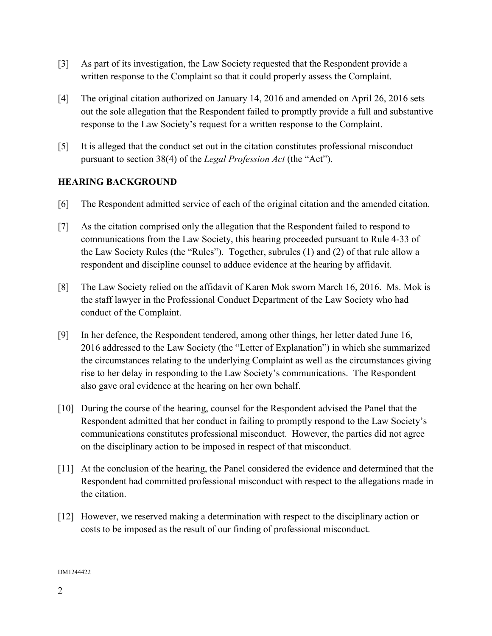- [3] As part of its investigation, the Law Society requested that the Respondent provide a written response to the Complaint so that it could properly assess the Complaint.
- [4] The original citation authorized on January 14, 2016 and amended on April 26, 2016 sets out the sole allegation that the Respondent failed to promptly provide a full and substantive response to the Law Society's request for a written response to the Complaint.
- [5] It is alleged that the conduct set out in the citation constitutes professional misconduct pursuant to section 38(4) of the *Legal Profession Act* (the "Act").

# **HEARING BACKGROUND**

- [6] The Respondent admitted service of each of the original citation and the amended citation.
- [7] As the citation comprised only the allegation that the Respondent failed to respond to communications from the Law Society, this hearing proceeded pursuant to Rule 4-33 of the Law Society Rules (the "Rules"). Together, subrules (1) and (2) of that rule allow a respondent and discipline counsel to adduce evidence at the hearing by affidavit.
- [8] The Law Society relied on the affidavit of Karen Mok sworn March 16, 2016. Ms. Mok is the staff lawyer in the Professional Conduct Department of the Law Society who had conduct of the Complaint.
- [9] In her defence, the Respondent tendered, among other things, her letter dated June 16, 2016 addressed to the Law Society (the "Letter of Explanation") in which she summarized the circumstances relating to the underlying Complaint as well as the circumstances giving rise to her delay in responding to the Law Society's communications. The Respondent also gave oral evidence at the hearing on her own behalf.
- [10] During the course of the hearing, counsel for the Respondent advised the Panel that the Respondent admitted that her conduct in failing to promptly respond to the Law Society's communications constitutes professional misconduct. However, the parties did not agree on the disciplinary action to be imposed in respect of that misconduct.
- [11] At the conclusion of the hearing, the Panel considered the evidence and determined that the Respondent had committed professional misconduct with respect to the allegations made in the citation.
- [12] However, we reserved making a determination with respect to the disciplinary action or costs to be imposed as the result of our finding of professional misconduct.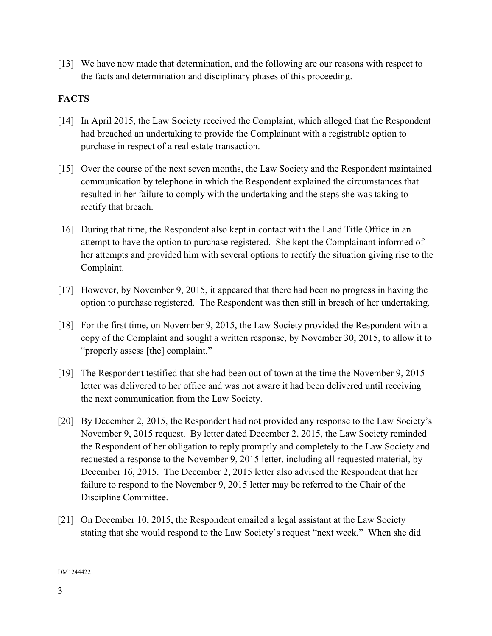[13] We have now made that determination, and the following are our reasons with respect to the facts and determination and disciplinary phases of this proceeding.

# **FACTS**

- [14] In April 2015, the Law Society received the Complaint, which alleged that the Respondent had breached an undertaking to provide the Complainant with a registrable option to purchase in respect of a real estate transaction.
- [15] Over the course of the next seven months, the Law Society and the Respondent maintained communication by telephone in which the Respondent explained the circumstances that resulted in her failure to comply with the undertaking and the steps she was taking to rectify that breach.
- [16] During that time, the Respondent also kept in contact with the Land Title Office in an attempt to have the option to purchase registered. She kept the Complainant informed of her attempts and provided him with several options to rectify the situation giving rise to the Complaint.
- [17] However, by November 9, 2015, it appeared that there had been no progress in having the option to purchase registered. The Respondent was then still in breach of her undertaking.
- [18] For the first time, on November 9, 2015, the Law Society provided the Respondent with a copy of the Complaint and sought a written response, by November 30, 2015, to allow it to "properly assess [the] complaint."
- [19] The Respondent testified that she had been out of town at the time the November 9, 2015 letter was delivered to her office and was not aware it had been delivered until receiving the next communication from the Law Society.
- [20] By December 2, 2015, the Respondent had not provided any response to the Law Society's November 9, 2015 request. By letter dated December 2, 2015, the Law Society reminded the Respondent of her obligation to reply promptly and completely to the Law Society and requested a response to the November 9, 2015 letter, including all requested material, by December 16, 2015. The December 2, 2015 letter also advised the Respondent that her failure to respond to the November 9, 2015 letter may be referred to the Chair of the Discipline Committee.
- [21] On December 10, 2015, the Respondent emailed a legal assistant at the Law Society stating that she would respond to the Law Society's request "next week." When she did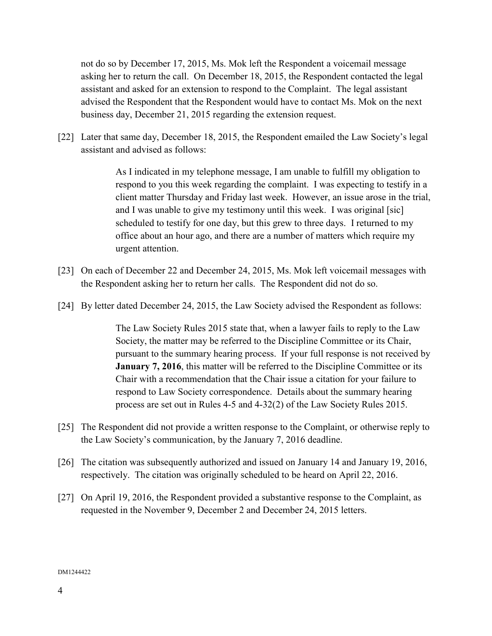not do so by December 17, 2015, Ms. Mok left the Respondent a voicemail message asking her to return the call. On December 18, 2015, the Respondent contacted the legal assistant and asked for an extension to respond to the Complaint. The legal assistant advised the Respondent that the Respondent would have to contact Ms. Mok on the next business day, December 21, 2015 regarding the extension request.

[22] Later that same day, December 18, 2015, the Respondent emailed the Law Society's legal assistant and advised as follows:

> As I indicated in my telephone message, I am unable to fulfill my obligation to respond to you this week regarding the complaint. I was expecting to testify in a client matter Thursday and Friday last week. However, an issue arose in the trial, and I was unable to give my testimony until this week. I was original [sic] scheduled to testify for one day, but this grew to three days. I returned to my office about an hour ago, and there are a number of matters which require my urgent attention.

- [23] On each of December 22 and December 24, 2015, Ms. Mok left voicemail messages with the Respondent asking her to return her calls. The Respondent did not do so.
- [24] By letter dated December 24, 2015, the Law Society advised the Respondent as follows:

The Law Society Rules 2015 state that, when a lawyer fails to reply to the Law Society, the matter may be referred to the Discipline Committee or its Chair, pursuant to the summary hearing process. If your full response is not received by **January 7, 2016**, this matter will be referred to the Discipline Committee or its Chair with a recommendation that the Chair issue a citation for your failure to respond to Law Society correspondence. Details about the summary hearing process are set out in Rules 4-5 and 4-32(2) of the Law Society Rules 2015.

- [25] The Respondent did not provide a written response to the Complaint, or otherwise reply to the Law Society's communication, by the January 7, 2016 deadline.
- [26] The citation was subsequently authorized and issued on January 14 and January 19, 2016, respectively. The citation was originally scheduled to be heard on April 22, 2016.
- [27] On April 19, 2016, the Respondent provided a substantive response to the Complaint, as requested in the November 9, December 2 and December 24, 2015 letters.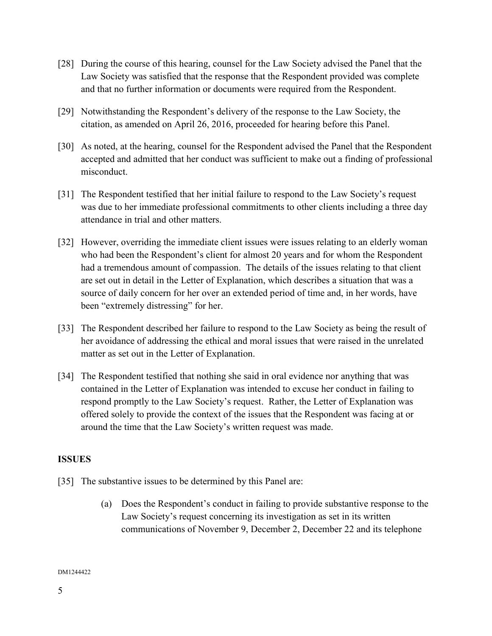- [28] During the course of this hearing, counsel for the Law Society advised the Panel that the Law Society was satisfied that the response that the Respondent provided was complete and that no further information or documents were required from the Respondent.
- [29] Notwithstanding the Respondent's delivery of the response to the Law Society, the citation, as amended on April 26, 2016, proceeded for hearing before this Panel.
- [30] As noted, at the hearing, counsel for the Respondent advised the Panel that the Respondent accepted and admitted that her conduct was sufficient to make out a finding of professional misconduct.
- [31] The Respondent testified that her initial failure to respond to the Law Society's request was due to her immediate professional commitments to other clients including a three day attendance in trial and other matters.
- [32] However, overriding the immediate client issues were issues relating to an elderly woman who had been the Respondent's client for almost 20 years and for whom the Respondent had a tremendous amount of compassion. The details of the issues relating to that client are set out in detail in the Letter of Explanation, which describes a situation that was a source of daily concern for her over an extended period of time and, in her words, have been "extremely distressing" for her.
- [33] The Respondent described her failure to respond to the Law Society as being the result of her avoidance of addressing the ethical and moral issues that were raised in the unrelated matter as set out in the Letter of Explanation.
- [34] The Respondent testified that nothing she said in oral evidence nor anything that was contained in the Letter of Explanation was intended to excuse her conduct in failing to respond promptly to the Law Society's request. Rather, the Letter of Explanation was offered solely to provide the context of the issues that the Respondent was facing at or around the time that the Law Society's written request was made.

## **ISSUES**

- [35] The substantive issues to be determined by this Panel are:
	- (a) Does the Respondent's conduct in failing to provide substantive response to the Law Society's request concerning its investigation as set in its written communications of November 9, December 2, December 22 and its telephone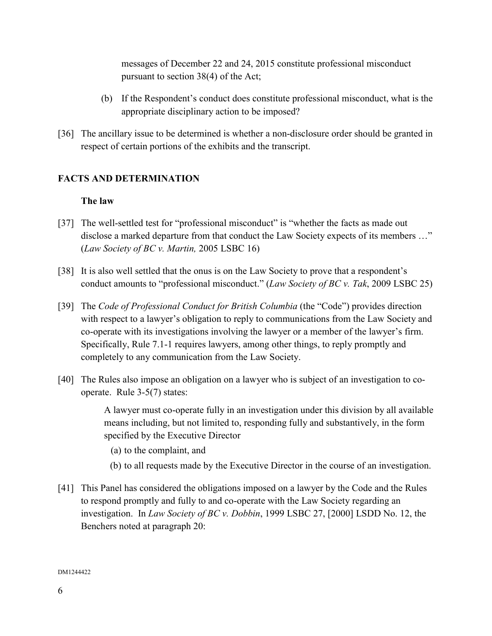messages of December 22 and 24, 2015 constitute professional misconduct pursuant to section 38(4) of the Act;

- (b) If the Respondent's conduct does constitute professional misconduct, what is the appropriate disciplinary action to be imposed?
- [36] The ancillary issue to be determined is whether a non-disclosure order should be granted in respect of certain portions of the exhibits and the transcript.

# **FACTS AND DETERMINATION**

### **The law**

- [37] The well-settled test for "professional misconduct" is "whether the facts as made out disclose a marked departure from that conduct the Law Society expects of its members …" (*Law Society of BC v. Martin,* 2005 LSBC 16)
- [38] It is also well settled that the onus is on the Law Society to prove that a respondent's conduct amounts to "professional misconduct." (*Law Society of BC v. Tak*, 2009 LSBC 25)
- [39] The *Code of Professional Conduct for British Columbia* (the "Code") provides direction with respect to a lawyer's obligation to reply to communications from the Law Society and co-operate with its investigations involving the lawyer or a member of the lawyer's firm. Specifically, Rule 7.1-1 requires lawyers, among other things, to reply promptly and completely to any communication from the Law Society.
- [40] The Rules also impose an obligation on a lawyer who is subject of an investigation to cooperate. Rule 3-5(7) states:

 A lawyer must co-operate fully in an investigation under this division by all available means including, but not limited to, responding fully and substantively, in the form specified by the Executive Director

- (a) to the complaint, and
- (b) to all requests made by the Executive Director in the course of an investigation.
- [41] This Panel has considered the obligations imposed on a lawyer by the Code and the Rules to respond promptly and fully to and co-operate with the Law Society regarding an investigation. In *Law Society of BC v. Dobbin*, 1999 LSBC 27, [2000] LSDD No. 12, the Benchers noted at paragraph 20: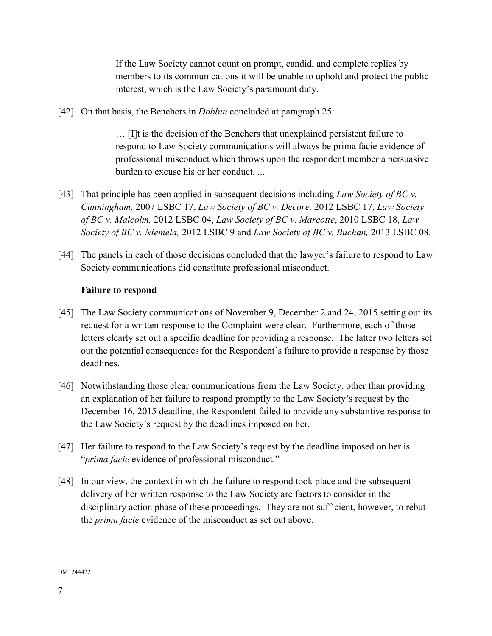If the Law Society cannot count on prompt, candid, and complete replies by members to its communications it will be unable to uphold and protect the public interest, which is the Law Society's paramount duty.

[42] On that basis, the Benchers in *Dobbin* concluded at paragraph 25:

… [I]t is the decision of the Benchers that unexplained persistent failure to respond to Law Society communications will always be prima facie evidence of professional misconduct which throws upon the respondent member a persuasive burden to excuse his or her conduct. ...

- [43] That principle has been applied in subsequent decisions including *Law Society of BC v. Cunningham,* 2007 LSBC 17, *Law Society of BC v. Decore,* 2012 LSBC 17, *Law Society of BC v. Malcolm,* 2012 LSBC 04, *Law Society of BC v. Marcotte*, 2010 LSBC 18, *Law Society of BC v. Niemela,* 2012 LSBC 9 and *Law Society of BC v. Buchan,* 2013 LSBC 08.
- [44] The panels in each of those decisions concluded that the lawyer's failure to respond to Law Society communications did constitute professional misconduct.

## **Failure to respond**

- [45] The Law Society communications of November 9, December 2 and 24, 2015 setting out its request for a written response to the Complaint were clear. Furthermore, each of those letters clearly set out a specific deadline for providing a response. The latter two letters set out the potential consequences for the Respondent's failure to provide a response by those deadlines.
- [46] Notwithstanding those clear communications from the Law Society, other than providing an explanation of her failure to respond promptly to the Law Society's request by the December 16, 2015 deadline, the Respondent failed to provide any substantive response to the Law Society's request by the deadlines imposed on her.
- [47] Her failure to respond to the Law Society's request by the deadline imposed on her is "*prima facie* evidence of professional misconduct."
- [48] In our view, the context in which the failure to respond took place and the subsequent delivery of her written response to the Law Society are factors to consider in the disciplinary action phase of these proceedings. They are not sufficient, however, to rebut the *prima facie* evidence of the misconduct as set out above.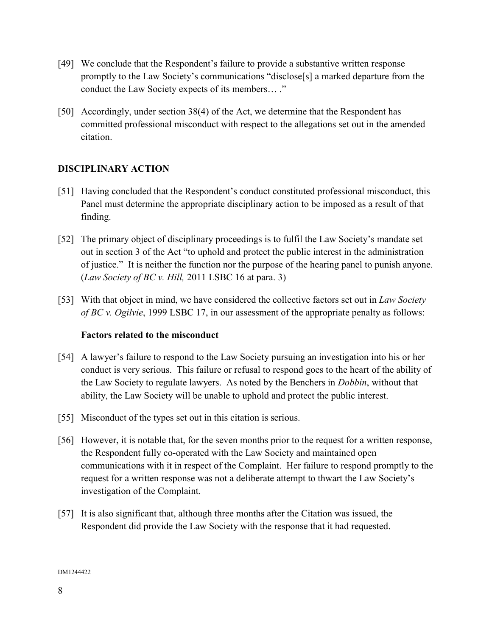- [49] We conclude that the Respondent's failure to provide a substantive written response promptly to the Law Society's communications "disclose[s] a marked departure from the conduct the Law Society expects of its members… ."
- [50] Accordingly, under section 38(4) of the Act, we determine that the Respondent has committed professional misconduct with respect to the allegations set out in the amended citation.

# **DISCIPLINARY ACTION**

- [51] Having concluded that the Respondent's conduct constituted professional misconduct, this Panel must determine the appropriate disciplinary action to be imposed as a result of that finding.
- [52] The primary object of disciplinary proceedings is to fulfil the Law Society's mandate set out in section 3 of the Act "to uphold and protect the public interest in the administration of justice." It is neither the function nor the purpose of the hearing panel to punish anyone. (*Law Society of BC v. Hill,* 2011 LSBC 16 at para. 3)
- [53] With that object in mind, we have considered the collective factors set out in *Law Society of BC v. Ogilvie*, 1999 LSBC 17, in our assessment of the appropriate penalty as follows:

## **Factors related to the misconduct**

- [54] A lawyer's failure to respond to the Law Society pursuing an investigation into his or her conduct is very serious. This failure or refusal to respond goes to the heart of the ability of the Law Society to regulate lawyers. As noted by the Benchers in *Dobbin*, without that ability, the Law Society will be unable to uphold and protect the public interest.
- [55] Misconduct of the types set out in this citation is serious.
- [56] However, it is notable that, for the seven months prior to the request for a written response, the Respondent fully co-operated with the Law Society and maintained open communications with it in respect of the Complaint. Her failure to respond promptly to the request for a written response was not a deliberate attempt to thwart the Law Society's investigation of the Complaint.
- [57] It is also significant that, although three months after the Citation was issued, the Respondent did provide the Law Society with the response that it had requested.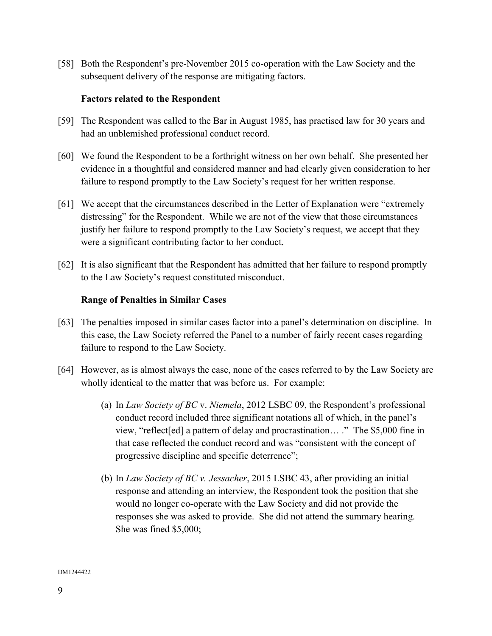[58] Both the Respondent's pre-November 2015 co-operation with the Law Society and the subsequent delivery of the response are mitigating factors.

### **Factors related to the Respondent**

- [59] The Respondent was called to the Bar in August 1985, has practised law for 30 years and had an unblemished professional conduct record.
- [60] We found the Respondent to be a forthright witness on her own behalf. She presented her evidence in a thoughtful and considered manner and had clearly given consideration to her failure to respond promptly to the Law Society's request for her written response.
- [61] We accept that the circumstances described in the Letter of Explanation were "extremely distressing" for the Respondent. While we are not of the view that those circumstances justify her failure to respond promptly to the Law Society's request, we accept that they were a significant contributing factor to her conduct.
- [62] It is also significant that the Respondent has admitted that her failure to respond promptly to the Law Society's request constituted misconduct.

### **Range of Penalties in Similar Cases**

- [63] The penalties imposed in similar cases factor into a panel's determination on discipline. In this case, the Law Society referred the Panel to a number of fairly recent cases regarding failure to respond to the Law Society.
- [64] However, as is almost always the case, none of the cases referred to by the Law Society are wholly identical to the matter that was before us. For example:
	- (a) In *Law Society of BC* v. *Niemela*, 2012 LSBC 09, the Respondent's professional conduct record included three significant notations all of which, in the panel's view, "reflect[ed] a pattern of delay and procrastination… ." The \$5,000 fine in that case reflected the conduct record and was "consistent with the concept of progressive discipline and specific deterrence";
	- (b) In *Law Society of BC v. Jessacher*, 2015 LSBC 43, after providing an initial response and attending an interview, the Respondent took the position that she would no longer co-operate with the Law Society and did not provide the responses she was asked to provide. She did not attend the summary hearing. She was fined \$5,000;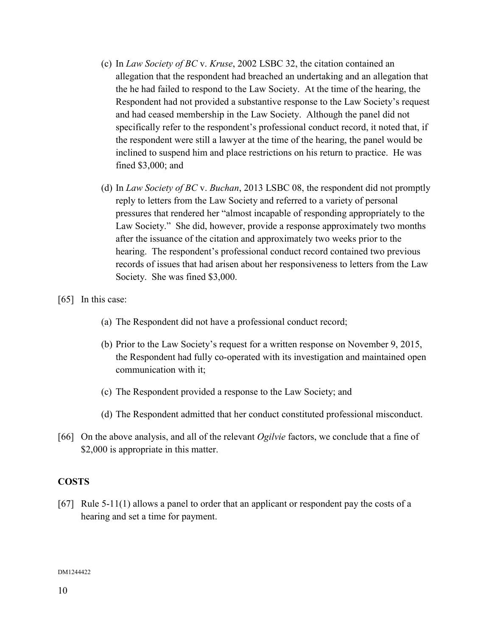- (c) In *Law Society of BC* v. *Kruse*, 2002 LSBC 32, the citation contained an allegation that the respondent had breached an undertaking and an allegation that the he had failed to respond to the Law Society. At the time of the hearing, the Respondent had not provided a substantive response to the Law Society's request and had ceased membership in the Law Society. Although the panel did not specifically refer to the respondent's professional conduct record, it noted that, if the respondent were still a lawyer at the time of the hearing, the panel would be inclined to suspend him and place restrictions on his return to practice. He was fined \$3,000; and
- (d) In *Law Society of BC* v. *Buchan*, 2013 LSBC 08, the respondent did not promptly reply to letters from the Law Society and referred to a variety of personal pressures that rendered her "almost incapable of responding appropriately to the Law Society." She did, however, provide a response approximately two months after the issuance of the citation and approximately two weeks prior to the hearing. The respondent's professional conduct record contained two previous records of issues that had arisen about her responsiveness to letters from the Law Society. She was fined \$3,000.

[65] In this case:

- (a) The Respondent did not have a professional conduct record;
- (b) Prior to the Law Society's request for a written response on November 9, 2015, the Respondent had fully co-operated with its investigation and maintained open communication with it;
- (c) The Respondent provided a response to the Law Society; and
- (d) The Respondent admitted that her conduct constituted professional misconduct.
- [66] On the above analysis, and all of the relevant *Ogilvie* factors, we conclude that a fine of \$2,000 is appropriate in this matter.

## **COSTS**

[67] Rule 5-11(1) allows a panel to order that an applicant or respondent pay the costs of a hearing and set a time for payment.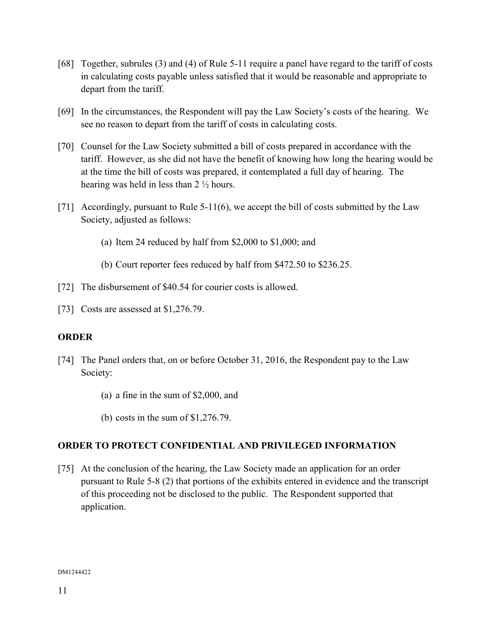- [68] Together, subrules (3) and (4) of Rule 5-11 require a panel have regard to the tariff of costs in calculating costs payable unless satisfied that it would be reasonable and appropriate to depart from the tariff.
- [69] In the circumstances, the Respondent will pay the Law Society's costs of the hearing. We see no reason to depart from the tariff of costs in calculating costs.
- [70] Counsel for the Law Society submitted a bill of costs prepared in accordance with the tariff. However, as she did not have the benefit of knowing how long the hearing would be at the time the bill of costs was prepared, it contemplated a full day of hearing. The hearing was held in less than 2 ½ hours.
- [71] Accordingly, pursuant to Rule 5-11(6), we accept the bill of costs submitted by the Law Society, adjusted as follows:
	- (a) Item 24 reduced by half from \$2,000 to \$1,000; and
	- (b) Court reporter fees reduced by half from \$472.50 to \$236.25.
- [72] The disbursement of \$40.54 for courier costs is allowed.
- [73] Costs are assessed at \$1,276.79.

## **ORDER**

- [74] The Panel orders that, on or before October 31, 2016, the Respondent pay to the Law Society:
	- (a) a fine in the sum of \$2,000, and
	- (b) costs in the sum of \$1,276.79.

# **ORDER TO PROTECT CONFIDENTIAL AND PRIVILEGED INFORMATION**

[75] At the conclusion of the hearing, the Law Society made an application for an order pursuant to Rule 5-8 (2) that portions of the exhibits entered in evidence and the transcript of this proceeding not be disclosed to the public. The Respondent supported that application.